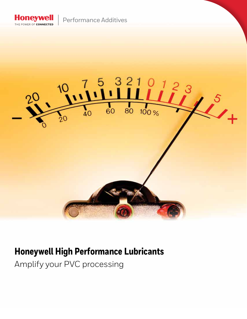

Performance Additives



# **Honeywell High Performance Lubricants**

Amplify your PVC processing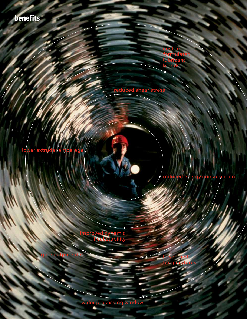**benefits**

custom rmula lubricant blends

reduced shear stress

lower extruder

consumption

lower melt temperatures

improved dynamic heat stability

higher output rates

wider processing window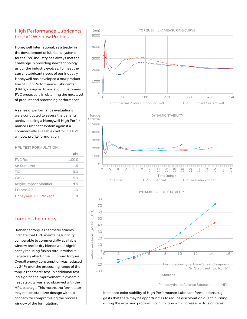#### High Performance Lubricants for PVC Window Profiles

Honeywell International, as a leader in the development of lubricant systems for the PVC industry has always met the challenge in providing new technology as our the industry evolves. To meet the current lubricant needs of our industry, Honeywell has developed a new product line of High Performance Lubricants (HPL's) designed to assist our customers PVC processors in obtaining the next level of product and processing performance.

A series of performance evaluations were conducted to assess the benefits achieved using a Honeywell High Performance Lubricant system against a commercially available control in a PVC window profile formulation.

#### HPL TEST FORMULATION

| <b>Honeywell HPL Package</b>   | 1.8     |
|--------------------------------|---------|
| Process Aid                    | 1.0     |
| <b>Acrylic Impact Modifier</b> | 4.5     |
| CaCO <sub>3</sub>              | 5.0     |
| TiO <sub>2</sub>               | 9.0     |
| Sn Stabilizer                  | $1.5\,$ |
| <b>PVC</b> Resin               | 100.0   |
|                                | phr     |

## Torque Rheometry

Brabender torque rheometer studies indicate that HPL maintains lubricity comparable to commercially available window profile dry blends while significantly reducing fusion torque without negatively affecting equilibrium torques. Overall energy consumption was reduced by 24% over the processing range of the torque rheometer test. In additional testing significant improvement in dynamic heat stability was also observed with the HPL package. This means the formulator may reduce stabilizer dosage without concern for compromising the process window of the formulation.





DYNAMIC COLOR STABILITY



Increased color stability of High Performance Lubricant formulations suggests that there may be opportunities to reduce discoloration due to burning during the extrusion process in conjunction with increased extrusion rates.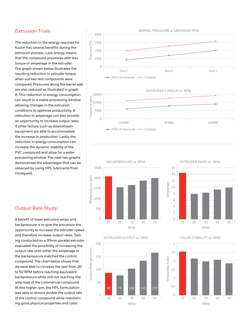## Extrusion Trials

The reduction in the energy required for fusion has several benefits during the extrusion process. Less energy means that the compound processes with less torque or amperage in the extruder. The graph shown below illustrates the resulting reduction in extruder torque when our two test compounds were compared. Pressures along the barrel wall are also reduced as illustrated in graph 8. This reduction in energy consumption can result in a stable processing window, allowing changes in the extrusion conditions to optimize productivity. A reduction in amperage can also provide an opportunity to increase output rates if other factors such as downstream equipment are able to accommodate the increase in production. Lastly, the reduction in energy consumption can increase the dynamic stability of the PVC compound and allow for a wider processing window. The next two graphs demonstrate the advantages that can be obtained by using HPL lubricants from Honeywell.

#### Output Rate Study

A benefit of lower extrusion amps and backpressure is to give the processor the opportunity to increase the extruder speed and therefore increase output rates. Testing conducted on a 30mm parallel extruder evaluated the possibility of increasing the output rate until either the amperage or the backpressure matched the control compound. The chart below shows that we were able to increase the rpm from 20 to 50 RPM before reaching equivalent backpressure while still not reaching the amp load of the commercial compound. At this higher rpm, the HPL formulation was able to almost double the output rate of the control compound while maintaining good physical properties and color.











COLOR STABILITY vs. RPM

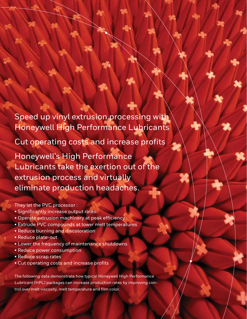Speed up vinyl extrusion processing with Honeywell High Performance Lubricants

Cut operating costs and increase profits

Honeywell's High Performance Lubricants take the exertion out of the extrusion process and virtually eliminate production headaches.

They let the PVC processor :

- Significantly increase output rates
- Operate extrusion machinery at peak efficiency
- Extrude PVC compounds at lower melt temperatures
- Reduce burning and discoloration
- Reduce plate-out
- Lower the frequency of maintenance shutdowns
- Reduce power consumption
- Reduce scrap rates
- Cut operating costs and increase profits

The following data demonstrate how typical Honeywell High Performance Lubricant (HPL) packages can increase production rates by improving control over melt viscosity, melt temperature and film color.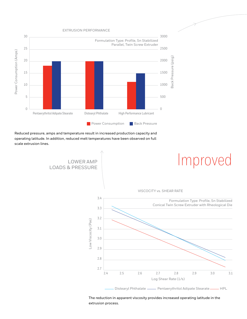EXTRUSION PERFORMANCE



Reduced pressure, amps and temperature result in increased production capacity and operating latitude. In addition, reduced melt temperatures have been observed on full scale extrusion lines.



The reduction in apparent viscosity provides increased operating latitude in the extrusion process.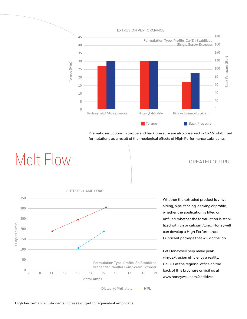EXTRUSION PERFORMANCE



Dramatic reductions in torque and back pressure are also observed in Ca/Zn stabilized formulations as a result of the rheological effects of High Performance Lubricants.

Melt Flow GREATER OUTPUT



Whether the extruded product is vinyl siding, pipe, fencing, decking or profile, whether the application is filled or unfilled, whether the formulation is stabilized with tin or calcium/zinc, Honeywell can develop a High Performance Lubricant package that will do the job.

Let Honeywell help make peak vinyl extrusion efficiency a reality. Call us at the regional office on the back of this brochure or visit us at www.honeywell.com/additives.